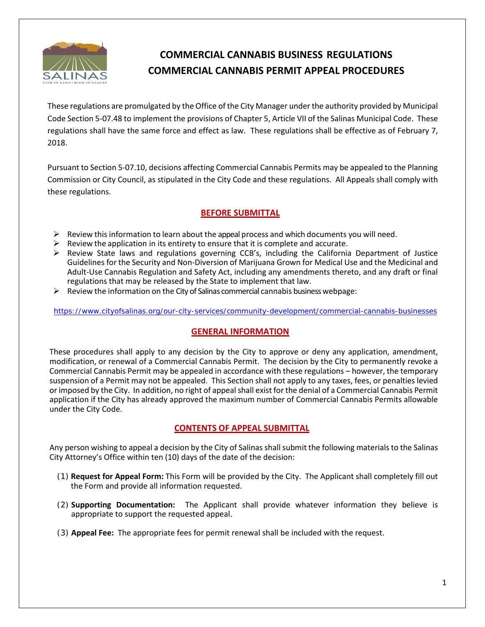

# **COMMERCIAL CANNABIS BUSINESS REGULATIONS COMMERCIAL CANNABIS PERMIT APPEAL PROCEDURES**

These regulations are promulgated by the Office of the City Manager under the authority provided by Municipal Code Section 5-07.48 to implement the provisions of Chapter 5, Article VII of the Salinas Municipal Code. These regulations shall have the same force and effect as law. These regulations shall be effective as of February 7, 2018.

Pursuant to Section 5-07.10, decisions affecting Commercial Cannabis Permits may be appealed to the Planning Commission or City Council, as stipulated in the City Code and these regulations. All Appeals shall comply with these regulations.

# **BEFORE SUBMITTAL**

- $\triangleright$  Review this information to learn about the appeal process and which documents you will need.
- $\triangleright$  Review the application in its entirety to ensure that it is complete and accurate.
- $\triangleright$  Review State laws and regulations governing CCB's, including the California Department of Justice Guidelines for the Security and Non-Diversion of Marijuana Grown for Medical Use and the Medicinal and Adult-Use Cannabis Regulation and Safety Act, including any amendments thereto, and any draft or final regulations that may be released by the State to implement that law.
- $\triangleright$  Review the information on the City of Salinas commercial cannabis business webpage:

<https://www.cityofsalinas.org/our-city-services/community-development/commercial-cannabis-businesses>

# **GENERAL INFORMATION**

These procedures shall apply to any decision by the City to approve or deny any application, amendment, modification, or renewal of a Commercial Cannabis Permit. The decision by the City to permanently revoke a Commercial Cannabis Permit may be appealed in accordance with these regulations – however, the temporary suspension of a Permit may not be appealed. This Section shall not apply to any taxes, fees, or penalties levied or imposed by the City. In addition, no right of appeal shall exist for the denial of a Commercial Cannabis Permit application if the City has already approved the maximum number of Commercial Cannabis Permits allowable under the City Code.

# **CONTENTS OF APPEAL SUBMITTAL**

Any person wishing to appeal a decision by the City of Salinas shall submit the following materials to the Salinas City Attorney's Office within ten (10) days of the date of the decision:

- (1) **Request for Appeal Form:** This Form will be provided by the City. The Applicant shall completely fill out the Form and provide all information requested.
- (2) **Supporting Documentation:** The Applicant shall provide whatever information they believe is appropriate to support the requested appeal.
- (3) **Appeal Fee:** The appropriate fees for permit renewal shall be included with the request.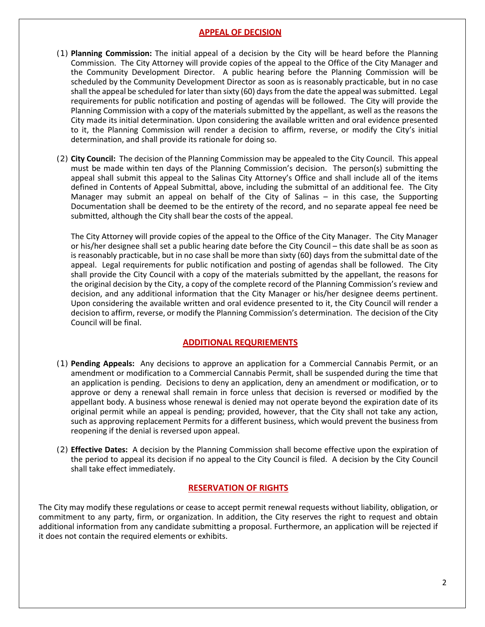#### **APPEAL OF DECISION**

- (1) **Planning Commission:** The initial appeal of a decision by the City will be heard before the Planning Commission. The City Attorney will provide copies of the appeal to the Office of the City Manager and the Community Development Director. A public hearing before the Planning Commission will be scheduled by the Community Development Director as soon as is reasonably practicable, but in no case shall the appeal be scheduled for later than sixty (60) days from the date the appeal was submitted. Legal requirements for public notification and posting of agendas will be followed. The City will provide the Planning Commission with a copy of the materials submitted by the appellant, as well as the reasons the City made its initial determination. Upon considering the available written and oral evidence presented to it, the Planning Commission will render a decision to affirm, reverse, or modify the City's initial determination, and shall provide its rationale for doing so.
- (2) **City Council:** The decision of the Planning Commission may be appealed to the City Council. This appeal must be made within ten days of the Planning Commission's decision. The person(s) submitting the appeal shall submit this appeal to the Salinas City Attorney's Office and shall include all of the items defined in Contents of Appeal Submittal, above, including the submittal of an additional fee. The City Manager may submit an appeal on behalf of the City of Salinas – in this case, the Supporting Documentation shall be deemed to be the entirety of the record, and no separate appeal fee need be submitted, although the City shall bear the costs of the appeal.

The City Attorney will provide copies of the appeal to the Office of the City Manager. The City Manager or his/her designee shall set a public hearing date before the City Council – this date shall be as soon as is reasonably practicable, but in no case shall be more than sixty (60) days from the submittal date of the appeal. Legal requirements for public notification and posting of agendas shall be followed. The City shall provide the City Council with a copy of the materials submitted by the appellant, the reasons for the original decision by the City, a copy of the complete record of the Planning Commission's review and decision, and any additional information that the City Manager or his/her designee deems pertinent. Upon considering the available written and oral evidence presented to it, the City Council will render a decision to affirm, reverse, or modify the Planning Commission's determination. The decision of the City Council will be final.

# **ADDITIONAL REQURIEMENTS**

- (1) **Pending Appeals:** Any decisions to approve an application for a Commercial Cannabis Permit, or an amendment or modification to a Commercial Cannabis Permit, shall be suspended during the time that an application is pending. Decisions to deny an application, deny an amendment or modification, or to approve or deny a renewal shall remain in force unless that decision is reversed or modified by the appellant body. A business whose renewal is denied may not operate beyond the expiration date of its original permit while an appeal is pending; provided, however, that the City shall not take any action, such as approving replacement Permits for a different business, which would prevent the business from reopening if the denial is reversed upon appeal.
- (2) **Effective Dates:** A decision by the Planning Commission shall become effective upon the expiration of the period to appeal its decision if no appeal to the City Council is filed. A decision by the City Council shall take effect immediately.

# **RESERVATION OF RIGHTS**

The City may modify these regulations or cease to accept permit renewal requests without liability, obligation, or commitment to any party, firm, or organization. In addition, the City reserves the right to request and obtain additional information from any candidate submitting a proposal. Furthermore, an application will be rejected if it does not contain the required elements or exhibits.